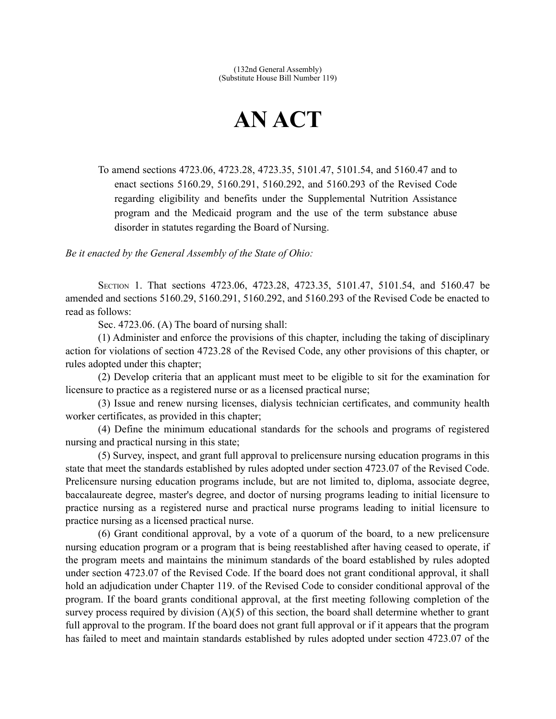## **AN ACT**

To amend sections 4723.06, 4723.28, 4723.35, 5101.47, 5101.54, and 5160.47 and to enact sections 5160.29, 5160.291, 5160.292, and 5160.293 of the Revised Code regarding eligibility and benefits under the Supplemental Nutrition Assistance program and the Medicaid program and the use of the term substance abuse disorder in statutes regarding the Board of Nursing.

*Be it enacted by the General Assembly of the State of Ohio:*

SECTION 1. That sections 4723.06, 4723.28, 4723.35, 5101.47, 5101.54, and 5160.47 be amended and sections 5160.29, 5160.291, 5160.292, and 5160.293 of the Revised Code be enacted to read as follows:

Sec. 4723.06. (A) The board of nursing shall:

(1) Administer and enforce the provisions of this chapter, including the taking of disciplinary action for violations of section 4723.28 of the Revised Code, any other provisions of this chapter, or rules adopted under this chapter;

(2) Develop criteria that an applicant must meet to be eligible to sit for the examination for licensure to practice as a registered nurse or as a licensed practical nurse;

(3) Issue and renew nursing licenses, dialysis technician certificates, and community health worker certificates, as provided in this chapter;

(4) Define the minimum educational standards for the schools and programs of registered nursing and practical nursing in this state;

(5) Survey, inspect, and grant full approval to prelicensure nursing education programs in this state that meet the standards established by rules adopted under section 4723.07 of the Revised Code. Prelicensure nursing education programs include, but are not limited to, diploma, associate degree, baccalaureate degree, master's degree, and doctor of nursing programs leading to initial licensure to practice nursing as a registered nurse and practical nurse programs leading to initial licensure to practice nursing as a licensed practical nurse.

(6) Grant conditional approval, by a vote of a quorum of the board, to a new prelicensure nursing education program or a program that is being reestablished after having ceased to operate, if the program meets and maintains the minimum standards of the board established by rules adopted under section 4723.07 of the Revised Code. If the board does not grant conditional approval, it shall hold an adjudication under Chapter 119. of the Revised Code to consider conditional approval of the program. If the board grants conditional approval, at the first meeting following completion of the survey process required by division (A)(5) of this section, the board shall determine whether to grant full approval to the program. If the board does not grant full approval or if it appears that the program has failed to meet and maintain standards established by rules adopted under section 4723.07 of the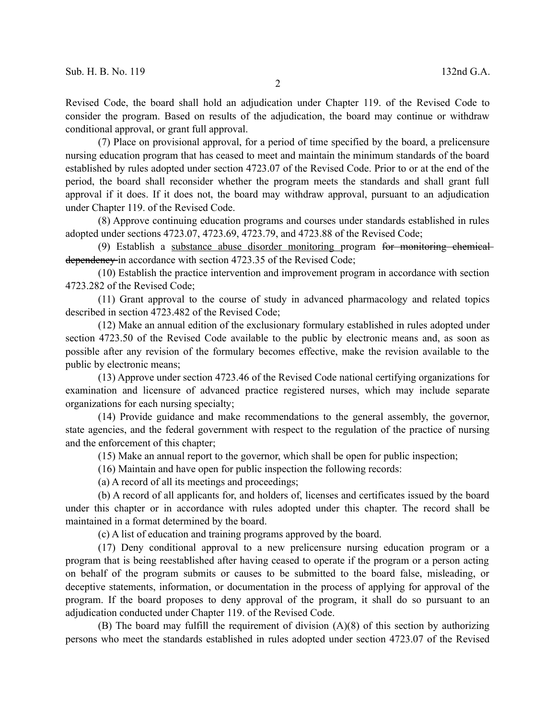Revised Code, the board shall hold an adjudication under Chapter 119. of the Revised Code to consider the program. Based on results of the adjudication, the board may continue or withdraw conditional approval, or grant full approval.

(7) Place on provisional approval, for a period of time specified by the board, a prelicensure nursing education program that has ceased to meet and maintain the minimum standards of the board established by rules adopted under section 4723.07 of the Revised Code. Prior to or at the end of the period, the board shall reconsider whether the program meets the standards and shall grant full approval if it does. If it does not, the board may withdraw approval, pursuant to an adjudication under Chapter 119. of the Revised Code.

(8) Approve continuing education programs and courses under standards established in rules adopted under sections 4723.07, 4723.69, 4723.79, and 4723.88 of the Revised Code;

(9) Establish a substance abuse disorder monitoring program for monitoring chemical dependency in accordance with section 4723.35 of the Revised Code;

(10) Establish the practice intervention and improvement program in accordance with section 4723.282 of the Revised Code;

(11) Grant approval to the course of study in advanced pharmacology and related topics described in section 4723.482 of the Revised Code;

(12) Make an annual edition of the exclusionary formulary established in rules adopted under section 4723.50 of the Revised Code available to the public by electronic means and, as soon as possible after any revision of the formulary becomes effective, make the revision available to the public by electronic means;

(13) Approve under section 4723.46 of the Revised Code national certifying organizations for examination and licensure of advanced practice registered nurses, which may include separate organizations for each nursing specialty;

(14) Provide guidance and make recommendations to the general assembly, the governor, state agencies, and the federal government with respect to the regulation of the practice of nursing and the enforcement of this chapter;

(15) Make an annual report to the governor, which shall be open for public inspection;

(16) Maintain and have open for public inspection the following records:

(a) A record of all its meetings and proceedings;

(b) A record of all applicants for, and holders of, licenses and certificates issued by the board under this chapter or in accordance with rules adopted under this chapter. The record shall be maintained in a format determined by the board.

(c) A list of education and training programs approved by the board.

(17) Deny conditional approval to a new prelicensure nursing education program or a program that is being reestablished after having ceased to operate if the program or a person acting on behalf of the program submits or causes to be submitted to the board false, misleading, or deceptive statements, information, or documentation in the process of applying for approval of the program. If the board proposes to deny approval of the program, it shall do so pursuant to an adjudication conducted under Chapter 119. of the Revised Code.

(B) The board may fulfill the requirement of division (A)(8) of this section by authorizing persons who meet the standards established in rules adopted under section 4723.07 of the Revised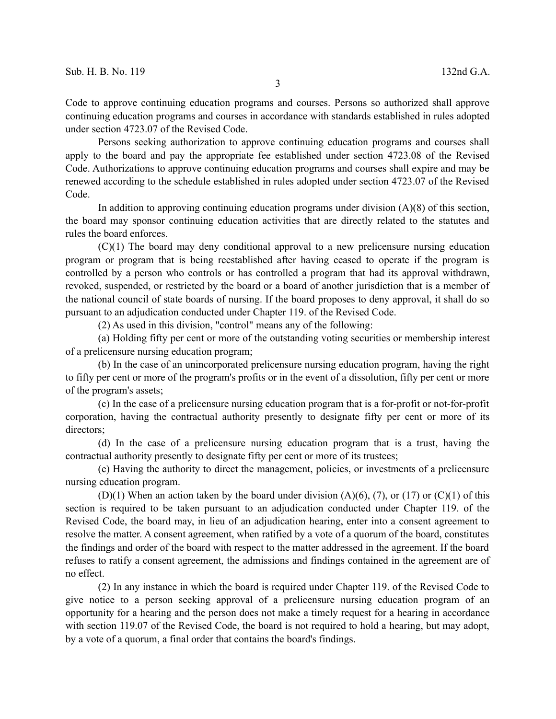Code to approve continuing education programs and courses. Persons so authorized shall approve continuing education programs and courses in accordance with standards established in rules adopted under section 4723.07 of the Revised Code.

Persons seeking authorization to approve continuing education programs and courses shall apply to the board and pay the appropriate fee established under section 4723.08 of the Revised Code. Authorizations to approve continuing education programs and courses shall expire and may be renewed according to the schedule established in rules adopted under section 4723.07 of the Revised Code.

In addition to approving continuing education programs under division  $(A)(8)$  of this section, the board may sponsor continuing education activities that are directly related to the statutes and rules the board enforces.

(C)(1) The board may deny conditional approval to a new prelicensure nursing education program or program that is being reestablished after having ceased to operate if the program is controlled by a person who controls or has controlled a program that had its approval withdrawn, revoked, suspended, or restricted by the board or a board of another jurisdiction that is a member of the national council of state boards of nursing. If the board proposes to deny approval, it shall do so pursuant to an adjudication conducted under Chapter 119. of the Revised Code.

(2) As used in this division, "control" means any of the following:

(a) Holding fifty per cent or more of the outstanding voting securities or membership interest of a prelicensure nursing education program;

(b) In the case of an unincorporated prelicensure nursing education program, having the right to fifty per cent or more of the program's profits or in the event of a dissolution, fifty per cent or more of the program's assets;

(c) In the case of a prelicensure nursing education program that is a for-profit or not-for-profit corporation, having the contractual authority presently to designate fifty per cent or more of its directors;

(d) In the case of a prelicensure nursing education program that is a trust, having the contractual authority presently to designate fifty per cent or more of its trustees;

(e) Having the authority to direct the management, policies, or investments of a prelicensure nursing education program.

(D)(1) When an action taken by the board under division  $(A)(6)$ , (7), or (17) or (C)(1) of this section is required to be taken pursuant to an adjudication conducted under Chapter 119. of the Revised Code, the board may, in lieu of an adjudication hearing, enter into a consent agreement to resolve the matter. A consent agreement, when ratified by a vote of a quorum of the board, constitutes the findings and order of the board with respect to the matter addressed in the agreement. If the board refuses to ratify a consent agreement, the admissions and findings contained in the agreement are of no effect.

(2) In any instance in which the board is required under Chapter 119. of the Revised Code to give notice to a person seeking approval of a prelicensure nursing education program of an opportunity for a hearing and the person does not make a timely request for a hearing in accordance with section 119.07 of the Revised Code, the board is not required to hold a hearing, but may adopt, by a vote of a quorum, a final order that contains the board's findings.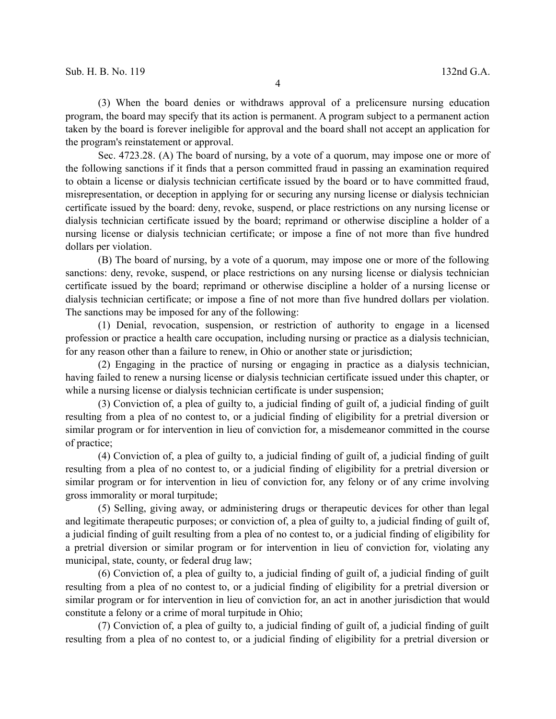(3) When the board denies or withdraws approval of a prelicensure nursing education program, the board may specify that its action is permanent. A program subject to a permanent action taken by the board is forever ineligible for approval and the board shall not accept an application for the program's reinstatement or approval.

Sec. 4723.28. (A) The board of nursing, by a vote of a quorum, may impose one or more of the following sanctions if it finds that a person committed fraud in passing an examination required to obtain a license or dialysis technician certificate issued by the board or to have committed fraud, misrepresentation, or deception in applying for or securing any nursing license or dialysis technician certificate issued by the board: deny, revoke, suspend, or place restrictions on any nursing license or dialysis technician certificate issued by the board; reprimand or otherwise discipline a holder of a nursing license or dialysis technician certificate; or impose a fine of not more than five hundred dollars per violation.

(B) The board of nursing, by a vote of a quorum, may impose one or more of the following sanctions: deny, revoke, suspend, or place restrictions on any nursing license or dialysis technician certificate issued by the board; reprimand or otherwise discipline a holder of a nursing license or dialysis technician certificate; or impose a fine of not more than five hundred dollars per violation. The sanctions may be imposed for any of the following:

(1) Denial, revocation, suspension, or restriction of authority to engage in a licensed profession or practice a health care occupation, including nursing or practice as a dialysis technician, for any reason other than a failure to renew, in Ohio or another state or jurisdiction;

(2) Engaging in the practice of nursing or engaging in practice as a dialysis technician, having failed to renew a nursing license or dialysis technician certificate issued under this chapter, or while a nursing license or dialysis technician certificate is under suspension;

(3) Conviction of, a plea of guilty to, a judicial finding of guilt of, a judicial finding of guilt resulting from a plea of no contest to, or a judicial finding of eligibility for a pretrial diversion or similar program or for intervention in lieu of conviction for, a misdemeanor committed in the course of practice;

(4) Conviction of, a plea of guilty to, a judicial finding of guilt of, a judicial finding of guilt resulting from a plea of no contest to, or a judicial finding of eligibility for a pretrial diversion or similar program or for intervention in lieu of conviction for, any felony or of any crime involving gross immorality or moral turpitude;

(5) Selling, giving away, or administering drugs or therapeutic devices for other than legal and legitimate therapeutic purposes; or conviction of, a plea of guilty to, a judicial finding of guilt of, a judicial finding of guilt resulting from a plea of no contest to, or a judicial finding of eligibility for a pretrial diversion or similar program or for intervention in lieu of conviction for, violating any municipal, state, county, or federal drug law;

(6) Conviction of, a plea of guilty to, a judicial finding of guilt of, a judicial finding of guilt resulting from a plea of no contest to, or a judicial finding of eligibility for a pretrial diversion or similar program or for intervention in lieu of conviction for, an act in another jurisdiction that would constitute a felony or a crime of moral turpitude in Ohio;

(7) Conviction of, a plea of guilty to, a judicial finding of guilt of, a judicial finding of guilt resulting from a plea of no contest to, or a judicial finding of eligibility for a pretrial diversion or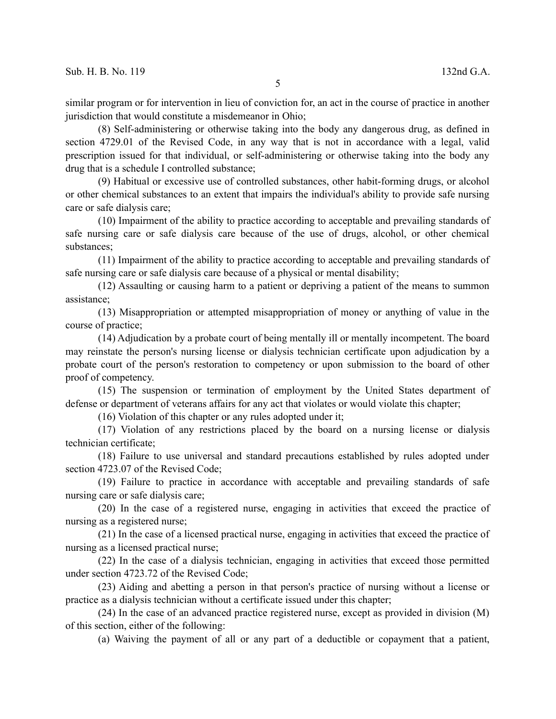similar program or for intervention in lieu of conviction for, an act in the course of practice in another jurisdiction that would constitute a misdemeanor in Ohio;

(8) Self-administering or otherwise taking into the body any dangerous drug, as defined in section 4729.01 of the Revised Code, in any way that is not in accordance with a legal, valid prescription issued for that individual, or self-administering or otherwise taking into the body any drug that is a schedule I controlled substance;

(9) Habitual or excessive use of controlled substances, other habit-forming drugs, or alcohol or other chemical substances to an extent that impairs the individual's ability to provide safe nursing care or safe dialysis care;

(10) Impairment of the ability to practice according to acceptable and prevailing standards of safe nursing care or safe dialysis care because of the use of drugs, alcohol, or other chemical substances;

(11) Impairment of the ability to practice according to acceptable and prevailing standards of safe nursing care or safe dialysis care because of a physical or mental disability;

(12) Assaulting or causing harm to a patient or depriving a patient of the means to summon assistance;

(13) Misappropriation or attempted misappropriation of money or anything of value in the course of practice;

(14) Adjudication by a probate court of being mentally ill or mentally incompetent. The board may reinstate the person's nursing license or dialysis technician certificate upon adjudication by a probate court of the person's restoration to competency or upon submission to the board of other proof of competency.

(15) The suspension or termination of employment by the United States department of defense or department of veterans affairs for any act that violates or would violate this chapter;

(16) Violation of this chapter or any rules adopted under it;

(17) Violation of any restrictions placed by the board on a nursing license or dialysis technician certificate;

(18) Failure to use universal and standard precautions established by rules adopted under section 4723.07 of the Revised Code;

(19) Failure to practice in accordance with acceptable and prevailing standards of safe nursing care or safe dialysis care;

(20) In the case of a registered nurse, engaging in activities that exceed the practice of nursing as a registered nurse;

(21) In the case of a licensed practical nurse, engaging in activities that exceed the practice of nursing as a licensed practical nurse;

(22) In the case of a dialysis technician, engaging in activities that exceed those permitted under section 4723.72 of the Revised Code;

(23) Aiding and abetting a person in that person's practice of nursing without a license or practice as a dialysis technician without a certificate issued under this chapter;

(24) In the case of an advanced practice registered nurse, except as provided in division (M) of this section, either of the following:

(a) Waiving the payment of all or any part of a deductible or copayment that a patient,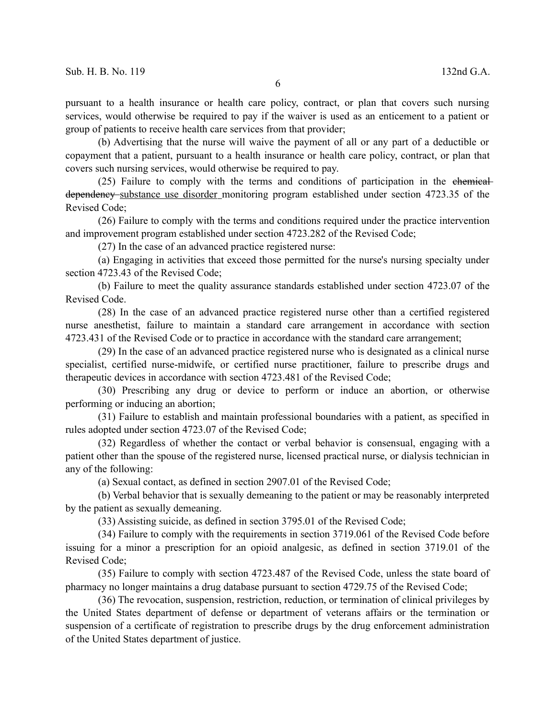pursuant to a health insurance or health care policy, contract, or plan that covers such nursing services, would otherwise be required to pay if the waiver is used as an enticement to a patient or group of patients to receive health care services from that provider;

(b) Advertising that the nurse will waive the payment of all or any part of a deductible or copayment that a patient, pursuant to a health insurance or health care policy, contract, or plan that covers such nursing services, would otherwise be required to pay.

(25) Failure to comply with the terms and conditions of participation in the chemical dependency substance use disorder monitoring program established under section 4723.35 of the Revised Code;

(26) Failure to comply with the terms and conditions required under the practice intervention and improvement program established under section 4723.282 of the Revised Code;

(27) In the case of an advanced practice registered nurse:

(a) Engaging in activities that exceed those permitted for the nurse's nursing specialty under section 4723.43 of the Revised Code;

(b) Failure to meet the quality assurance standards established under section 4723.07 of the Revised Code.

(28) In the case of an advanced practice registered nurse other than a certified registered nurse anesthetist, failure to maintain a standard care arrangement in accordance with section 4723.431 of the Revised Code or to practice in accordance with the standard care arrangement;

(29) In the case of an advanced practice registered nurse who is designated as a clinical nurse specialist, certified nurse-midwife, or certified nurse practitioner, failure to prescribe drugs and therapeutic devices in accordance with section 4723.481 of the Revised Code;

(30) Prescribing any drug or device to perform or induce an abortion, or otherwise performing or inducing an abortion;

(31) Failure to establish and maintain professional boundaries with a patient, as specified in rules adopted under section 4723.07 of the Revised Code;

(32) Regardless of whether the contact or verbal behavior is consensual, engaging with a patient other than the spouse of the registered nurse, licensed practical nurse, or dialysis technician in any of the following:

(a) Sexual contact, as defined in section 2907.01 of the Revised Code;

(b) Verbal behavior that is sexually demeaning to the patient or may be reasonably interpreted by the patient as sexually demeaning.

(33) Assisting suicide, as defined in section 3795.01 of the Revised Code;

(34) Failure to comply with the requirements in section 3719.061 of the Revised Code before issuing for a minor a prescription for an opioid analgesic, as defined in section 3719.01 of the Revised Code;

(35) Failure to comply with section 4723.487 of the Revised Code, unless the state board of pharmacy no longer maintains a drug database pursuant to section 4729.75 of the Revised Code;

(36) The revocation, suspension, restriction, reduction, or termination of clinical privileges by the United States department of defense or department of veterans affairs or the termination or suspension of a certificate of registration to prescribe drugs by the drug enforcement administration of the United States department of justice.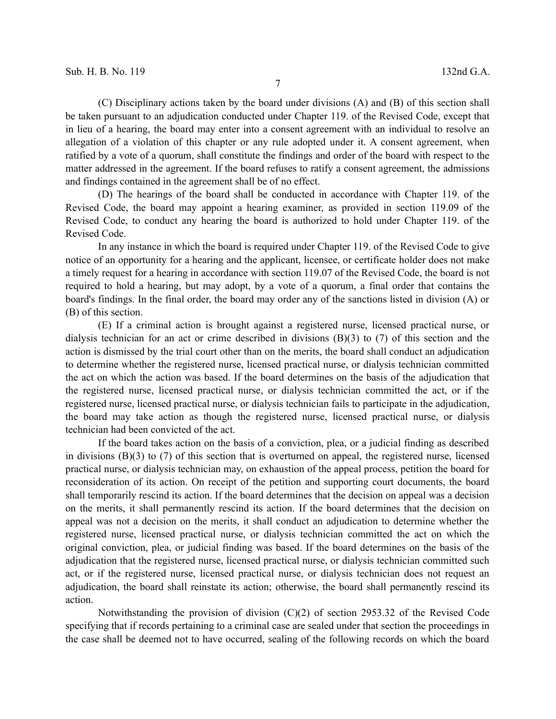(C) Disciplinary actions taken by the board under divisions (A) and (B) of this section shall be taken pursuant to an adjudication conducted under Chapter 119. of the Revised Code, except that in lieu of a hearing, the board may enter into a consent agreement with an individual to resolve an allegation of a violation of this chapter or any rule adopted under it. A consent agreement, when ratified by a vote of a quorum, shall constitute the findings and order of the board with respect to the matter addressed in the agreement. If the board refuses to ratify a consent agreement, the admissions and findings contained in the agreement shall be of no effect.

(D) The hearings of the board shall be conducted in accordance with Chapter 119. of the Revised Code, the board may appoint a hearing examiner, as provided in section 119.09 of the Revised Code, to conduct any hearing the board is authorized to hold under Chapter 119. of the Revised Code.

In any instance in which the board is required under Chapter 119. of the Revised Code to give notice of an opportunity for a hearing and the applicant, licensee, or certificate holder does not make a timely request for a hearing in accordance with section 119.07 of the Revised Code, the board is not required to hold a hearing, but may adopt, by a vote of a quorum, a final order that contains the board's findings. In the final order, the board may order any of the sanctions listed in division (A) or (B) of this section.

(E) If a criminal action is brought against a registered nurse, licensed practical nurse, or dialysis technician for an act or crime described in divisions (B)(3) to (7) of this section and the action is dismissed by the trial court other than on the merits, the board shall conduct an adjudication to determine whether the registered nurse, licensed practical nurse, or dialysis technician committed the act on which the action was based. If the board determines on the basis of the adjudication that the registered nurse, licensed practical nurse, or dialysis technician committed the act, or if the registered nurse, licensed practical nurse, or dialysis technician fails to participate in the adjudication, the board may take action as though the registered nurse, licensed practical nurse, or dialysis technician had been convicted of the act.

If the board takes action on the basis of a conviction, plea, or a judicial finding as described in divisions  $(B)(3)$  to  $(7)$  of this section that is overturned on appeal, the registered nurse, licensed practical nurse, or dialysis technician may, on exhaustion of the appeal process, petition the board for reconsideration of its action. On receipt of the petition and supporting court documents, the board shall temporarily rescind its action. If the board determines that the decision on appeal was a decision on the merits, it shall permanently rescind its action. If the board determines that the decision on appeal was not a decision on the merits, it shall conduct an adjudication to determine whether the registered nurse, licensed practical nurse, or dialysis technician committed the act on which the original conviction, plea, or judicial finding was based. If the board determines on the basis of the adjudication that the registered nurse, licensed practical nurse, or dialysis technician committed such act, or if the registered nurse, licensed practical nurse, or dialysis technician does not request an adjudication, the board shall reinstate its action; otherwise, the board shall permanently rescind its action.

Notwithstanding the provision of division  $(C)(2)$  of section 2953.32 of the Revised Code specifying that if records pertaining to a criminal case are sealed under that section the proceedings in the case shall be deemed not to have occurred, sealing of the following records on which the board

7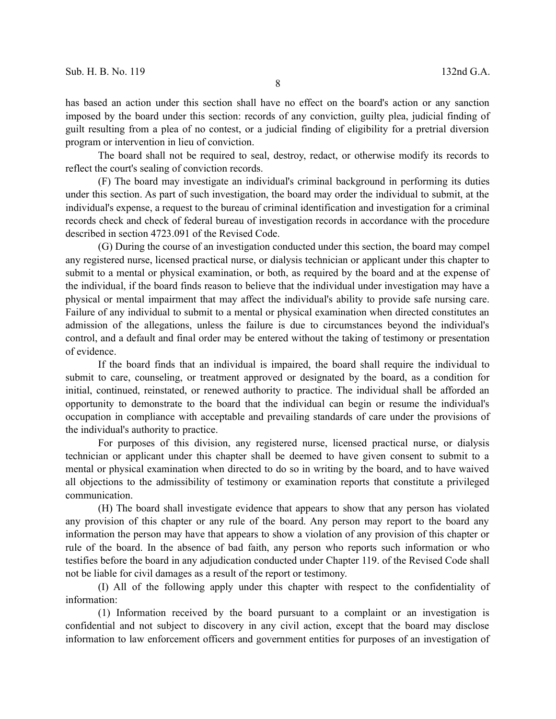has based an action under this section shall have no effect on the board's action or any sanction imposed by the board under this section: records of any conviction, guilty plea, judicial finding of guilt resulting from a plea of no contest, or a judicial finding of eligibility for a pretrial diversion program or intervention in lieu of conviction.

The board shall not be required to seal, destroy, redact, or otherwise modify its records to reflect the court's sealing of conviction records.

(F) The board may investigate an individual's criminal background in performing its duties under this section. As part of such investigation, the board may order the individual to submit, at the individual's expense, a request to the bureau of criminal identification and investigation for a criminal records check and check of federal bureau of investigation records in accordance with the procedure described in section 4723.091 of the Revised Code.

(G) During the course of an investigation conducted under this section, the board may compel any registered nurse, licensed practical nurse, or dialysis technician or applicant under this chapter to submit to a mental or physical examination, or both, as required by the board and at the expense of the individual, if the board finds reason to believe that the individual under investigation may have a physical or mental impairment that may affect the individual's ability to provide safe nursing care. Failure of any individual to submit to a mental or physical examination when directed constitutes an admission of the allegations, unless the failure is due to circumstances beyond the individual's control, and a default and final order may be entered without the taking of testimony or presentation of evidence.

If the board finds that an individual is impaired, the board shall require the individual to submit to care, counseling, or treatment approved or designated by the board, as a condition for initial, continued, reinstated, or renewed authority to practice. The individual shall be afforded an opportunity to demonstrate to the board that the individual can begin or resume the individual's occupation in compliance with acceptable and prevailing standards of care under the provisions of the individual's authority to practice.

For purposes of this division, any registered nurse, licensed practical nurse, or dialysis technician or applicant under this chapter shall be deemed to have given consent to submit to a mental or physical examination when directed to do so in writing by the board, and to have waived all objections to the admissibility of testimony or examination reports that constitute a privileged communication.

(H) The board shall investigate evidence that appears to show that any person has violated any provision of this chapter or any rule of the board. Any person may report to the board any information the person may have that appears to show a violation of any provision of this chapter or rule of the board. In the absence of bad faith, any person who reports such information or who testifies before the board in any adjudication conducted under Chapter 119. of the Revised Code shall not be liable for civil damages as a result of the report or testimony.

(I) All of the following apply under this chapter with respect to the confidentiality of information:

(1) Information received by the board pursuant to a complaint or an investigation is confidential and not subject to discovery in any civil action, except that the board may disclose information to law enforcement officers and government entities for purposes of an investigation of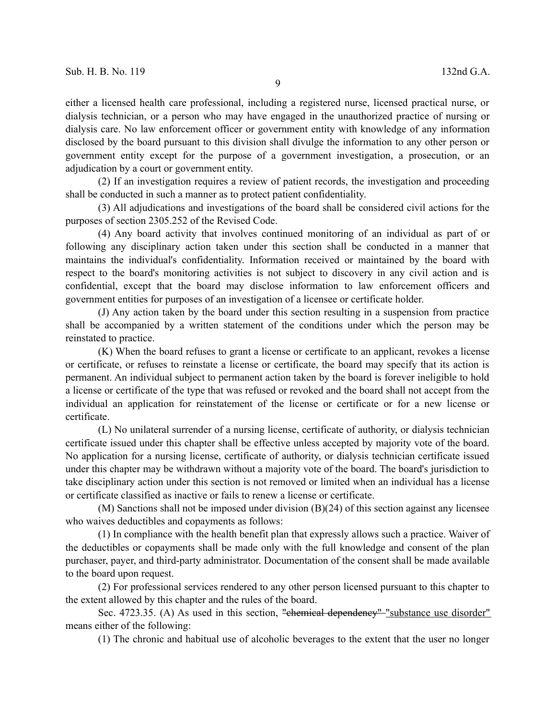either a licensed health care professional, including a registered nurse, licensed practical nurse, or dialysis technician, or a person who may have engaged in the unauthorized practice of nursing or dialysis care. No law enforcement officer or government entity with knowledge of any information disclosed by the board pursuant to this division shall divulge the information to any other person or government entity except for the purpose of a government investigation, a prosecution, or an adjudication by a court or government entity.

(2) If an investigation requires a review of patient records, the investigation and proceeding shall be conducted in such a manner as to protect patient confidentiality.

(3) All adjudications and investigations of the board shall be considered civil actions for the purposes of section 2305.252 of the Revised Code.

(4) Any board activity that involves continued monitoring of an individual as part of or following any disciplinary action taken under this section shall be conducted in a manner that maintains the individual's confidentiality. Information received or maintained by the board with respect to the board's monitoring activities is not subject to discovery in any civil action and is confidential, except that the board may disclose information to law enforcement officers and government entities for purposes of an investigation of a licensee or certificate holder.

(J) Any action taken by the board under this section resulting in a suspension from practice shall be accompanied by a written statement of the conditions under which the person may be reinstated to practice.

(K) When the board refuses to grant a license or certificate to an applicant, revokes a license or certificate, or refuses to reinstate a license or certificate, the board may specify that its action is permanent. An individual subject to permanent action taken by the board is forever ineligible to hold a license or certificate of the type that was refused or revoked and the board shall not accept from the individual an application for reinstatement of the license or certificate or for a new license or certificate.

(L) No unilateral surrender of a nursing license, certificate of authority, or dialysis technician certificate issued under this chapter shall be effective unless accepted by majority vote of the board. No application for a nursing license, certificate of authority, or dialysis technician certificate issued under this chapter may be withdrawn without a majority vote of the board. The board's jurisdiction to take disciplinary action under this section is not removed or limited when an individual has a license or certificate classified as inactive or fails to renew a license or certificate.

(M) Sanctions shall not be imposed under division (B)(24) of this section against any licensee who waives deductibles and copayments as follows:

(1) In compliance with the health benefit plan that expressly allows such a practice. Waiver of the deductibles or copayments shall be made only with the full knowledge and consent of the plan purchaser, payer, and third-party administrator. Documentation of the consent shall be made available to the board upon request.

(2) For professional services rendered to any other person licensed pursuant to this chapter to the extent allowed by this chapter and the rules of the board.

Sec. 4723.35. (A) As used in this section, "chemical dependency" "substance use disorder" means either of the following:

(1) The chronic and habitual use of alcoholic beverages to the extent that the user no longer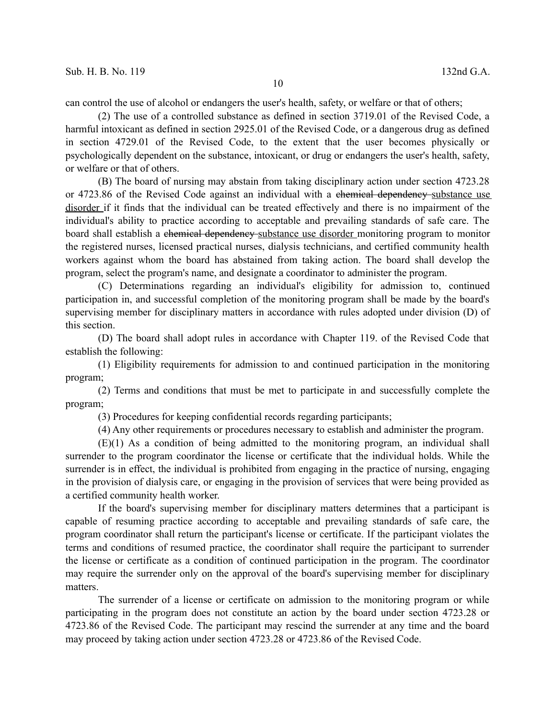can control the use of alcohol or endangers the user's health, safety, or welfare or that of others;

(2) The use of a controlled substance as defined in section 3719.01 of the Revised Code, a harmful intoxicant as defined in section 2925.01 of the Revised Code, or a dangerous drug as defined in section 4729.01 of the Revised Code, to the extent that the user becomes physically or psychologically dependent on the substance, intoxicant, or drug or endangers the user's health, safety, or welfare or that of others.

(B) The board of nursing may abstain from taking disciplinary action under section 4723.28 or 4723.86 of the Revised Code against an individual with a chemical dependency substance use disorder if it finds that the individual can be treated effectively and there is no impairment of the individual's ability to practice according to acceptable and prevailing standards of safe care. The board shall establish a chemical dependency-substance use disorder monitoring program to monitor the registered nurses, licensed practical nurses, dialysis technicians, and certified community health workers against whom the board has abstained from taking action. The board shall develop the program, select the program's name, and designate a coordinator to administer the program.

(C) Determinations regarding an individual's eligibility for admission to, continued participation in, and successful completion of the monitoring program shall be made by the board's supervising member for disciplinary matters in accordance with rules adopted under division (D) of this section.

(D) The board shall adopt rules in accordance with Chapter 119. of the Revised Code that establish the following:

(1) Eligibility requirements for admission to and continued participation in the monitoring program;

(2) Terms and conditions that must be met to participate in and successfully complete the program;

(3) Procedures for keeping confidential records regarding participants;

(4) Any other requirements or procedures necessary to establish and administer the program.

(E)(1) As a condition of being admitted to the monitoring program, an individual shall surrender to the program coordinator the license or certificate that the individual holds. While the surrender is in effect, the individual is prohibited from engaging in the practice of nursing, engaging in the provision of dialysis care, or engaging in the provision of services that were being provided as a certified community health worker.

If the board's supervising member for disciplinary matters determines that a participant is capable of resuming practice according to acceptable and prevailing standards of safe care, the program coordinator shall return the participant's license or certificate. If the participant violates the terms and conditions of resumed practice, the coordinator shall require the participant to surrender the license or certificate as a condition of continued participation in the program. The coordinator may require the surrender only on the approval of the board's supervising member for disciplinary matters.

The surrender of a license or certificate on admission to the monitoring program or while participating in the program does not constitute an action by the board under section 4723.28 or 4723.86 of the Revised Code. The participant may rescind the surrender at any time and the board may proceed by taking action under section 4723.28 or 4723.86 of the Revised Code.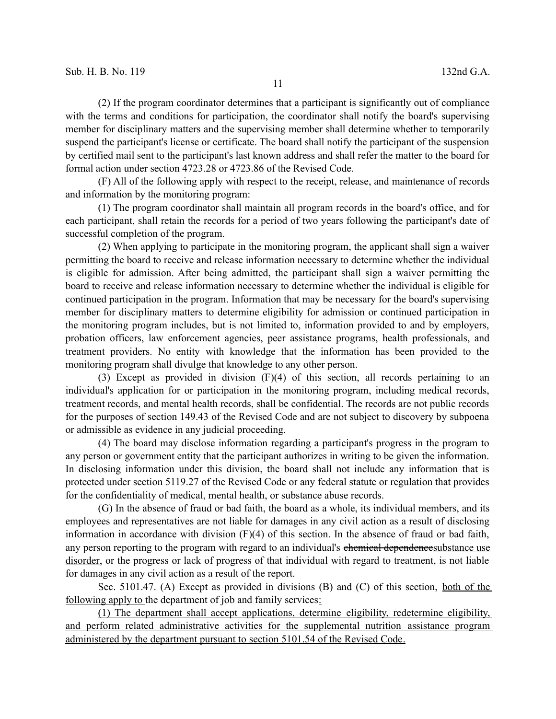(2) If the program coordinator determines that a participant is significantly out of compliance with the terms and conditions for participation, the coordinator shall notify the board's supervising member for disciplinary matters and the supervising member shall determine whether to temporarily suspend the participant's license or certificate. The board shall notify the participant of the suspension by certified mail sent to the participant's last known address and shall refer the matter to the board for formal action under section 4723.28 or 4723.86 of the Revised Code.

(F) All of the following apply with respect to the receipt, release, and maintenance of records and information by the monitoring program:

(1) The program coordinator shall maintain all program records in the board's office, and for each participant, shall retain the records for a period of two years following the participant's date of successful completion of the program.

(2) When applying to participate in the monitoring program, the applicant shall sign a waiver permitting the board to receive and release information necessary to determine whether the individual is eligible for admission. After being admitted, the participant shall sign a waiver permitting the board to receive and release information necessary to determine whether the individual is eligible for continued participation in the program. Information that may be necessary for the board's supervising member for disciplinary matters to determine eligibility for admission or continued participation in the monitoring program includes, but is not limited to, information provided to and by employers, probation officers, law enforcement agencies, peer assistance programs, health professionals, and treatment providers. No entity with knowledge that the information has been provided to the monitoring program shall divulge that knowledge to any other person.

(3) Except as provided in division (F)(4) of this section, all records pertaining to an individual's application for or participation in the monitoring program, including medical records, treatment records, and mental health records, shall be confidential. The records are not public records for the purposes of section 149.43 of the Revised Code and are not subject to discovery by subpoena or admissible as evidence in any judicial proceeding.

(4) The board may disclose information regarding a participant's progress in the program to any person or government entity that the participant authorizes in writing to be given the information. In disclosing information under this division, the board shall not include any information that is protected under section 5119.27 of the Revised Code or any federal statute or regulation that provides for the confidentiality of medical, mental health, or substance abuse records.

(G) In the absence of fraud or bad faith, the board as a whole, its individual members, and its employees and representatives are not liable for damages in any civil action as a result of disclosing information in accordance with division (F)(4) of this section. In the absence of fraud or bad faith, any person reporting to the program with regard to an individual's entermined dependencesubstance use disorder, or the progress or lack of progress of that individual with regard to treatment, is not liable for damages in any civil action as a result of the report.

Sec. 5101.47. (A) Except as provided in divisions (B) and (C) of this section, both of the following apply to the department of job and family services:

 (1) The department shall accept applications, determine eligibility, redetermine eligibility, and perform related administrative activities for the supplemental nutrition assistance program administered by the department pursuant to section 5101.54 of the Revised Code.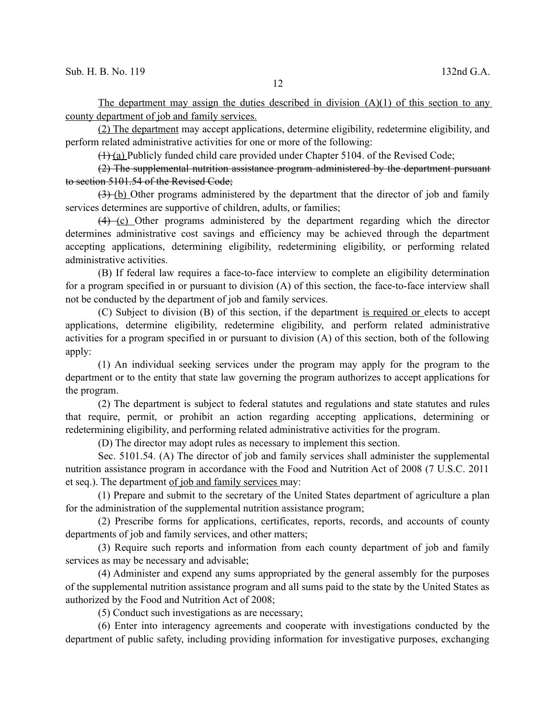The department may assign the duties described in division  $(A)(1)$  of this section to any county department of job and family services.

(2) The department may accept applications, determine eligibility, redetermine eligibility, and perform related administrative activities for one or more of the following:

 $(1)$  (a) Publicly funded child care provided under Chapter 5104. of the Revised Code;

## (2) The supplemental nutrition assistance program administered by the department pursuant to section 5101.54 of the Revised Code;

(3) (b) Other programs administered by the department that the director of job and family services determines are supportive of children, adults, or families;

(4) (c) Other programs administered by the department regarding which the director determines administrative cost savings and efficiency may be achieved through the department accepting applications, determining eligibility, redetermining eligibility, or performing related administrative activities.

(B) If federal law requires a face-to-face interview to complete an eligibility determination for a program specified in or pursuant to division (A) of this section, the face-to-face interview shall not be conducted by the department of job and family services.

(C) Subject to division (B) of this section, if the department is required or elects to accept applications, determine eligibility, redetermine eligibility, and perform related administrative activities for a program specified in or pursuant to division (A) of this section, both of the following apply:

(1) An individual seeking services under the program may apply for the program to the department or to the entity that state law governing the program authorizes to accept applications for the program.

(2) The department is subject to federal statutes and regulations and state statutes and rules that require, permit, or prohibit an action regarding accepting applications, determining or redetermining eligibility, and performing related administrative activities for the program.

(D) The director may adopt rules as necessary to implement this section.

Sec. 5101.54. (A) The director of job and family services shall administer the supplemental nutrition assistance program in accordance with the Food and Nutrition Act of 2008 (7 U.S.C. 2011 et seq.). The department of job and family services may:

(1) Prepare and submit to the secretary of the United States department of agriculture a plan for the administration of the supplemental nutrition assistance program;

(2) Prescribe forms for applications, certificates, reports, records, and accounts of county departments of job and family services, and other matters;

(3) Require such reports and information from each county department of job and family services as may be necessary and advisable;

(4) Administer and expend any sums appropriated by the general assembly for the purposes of the supplemental nutrition assistance program and all sums paid to the state by the United States as authorized by the Food and Nutrition Act of 2008;

(5) Conduct such investigations as are necessary;

(6) Enter into interagency agreements and cooperate with investigations conducted by the department of public safety, including providing information for investigative purposes, exchanging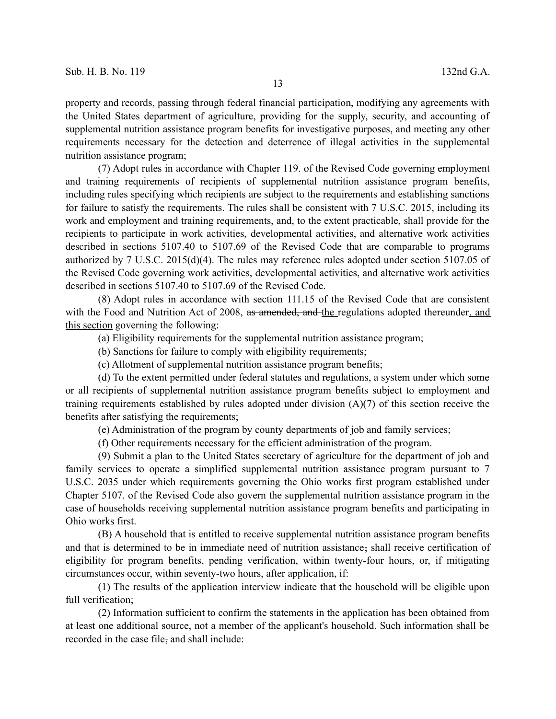property and records, passing through federal financial participation, modifying any agreements with the United States department of agriculture, providing for the supply, security, and accounting of supplemental nutrition assistance program benefits for investigative purposes, and meeting any other requirements necessary for the detection and deterrence of illegal activities in the supplemental nutrition assistance program;

(7) Adopt rules in accordance with Chapter 119. of the Revised Code governing employment and training requirements of recipients of supplemental nutrition assistance program benefits, including rules specifying which recipients are subject to the requirements and establishing sanctions for failure to satisfy the requirements. The rules shall be consistent with 7 U.S.C. 2015, including its work and employment and training requirements, and, to the extent practicable, shall provide for the recipients to participate in work activities, developmental activities, and alternative work activities described in sections 5107.40 to 5107.69 of the Revised Code that are comparable to programs authorized by 7 U.S.C. 2015(d)(4). The rules may reference rules adopted under section 5107.05 of the Revised Code governing work activities, developmental activities, and alternative work activities described in sections 5107.40 to 5107.69 of the Revised Code.

(8) Adopt rules in accordance with section 111.15 of the Revised Code that are consistent with the Food and Nutrition Act of 2008, as amended, and the regulations adopted thereunder, and this section governing the following:

(a) Eligibility requirements for the supplemental nutrition assistance program;

(b) Sanctions for failure to comply with eligibility requirements;

(c) Allotment of supplemental nutrition assistance program benefits;

(d) To the extent permitted under federal statutes and regulations, a system under which some or all recipients of supplemental nutrition assistance program benefits subject to employment and training requirements established by rules adopted under division (A)(7) of this section receive the benefits after satisfying the requirements;

(e) Administration of the program by county departments of job and family services;

(f) Other requirements necessary for the efficient administration of the program.

(9) Submit a plan to the United States secretary of agriculture for the department of job and family services to operate a simplified supplemental nutrition assistance program pursuant to 7 U.S.C. 2035 under which requirements governing the Ohio works first program established under Chapter 5107. of the Revised Code also govern the supplemental nutrition assistance program in the case of households receiving supplemental nutrition assistance program benefits and participating in Ohio works first.

(B) A household that is entitled to receive supplemental nutrition assistance program benefits and that is determined to be in immediate need of nutrition assistance, shall receive certification of eligibility for program benefits, pending verification, within twenty-four hours, or, if mitigating circumstances occur, within seventy-two hours, after application, if:

(1) The results of the application interview indicate that the household will be eligible upon full verification;

(2) Information sufficient to confirm the statements in the application has been obtained from at least one additional source, not a member of the applicant's household. Such information shall be recorded in the case file, and shall include: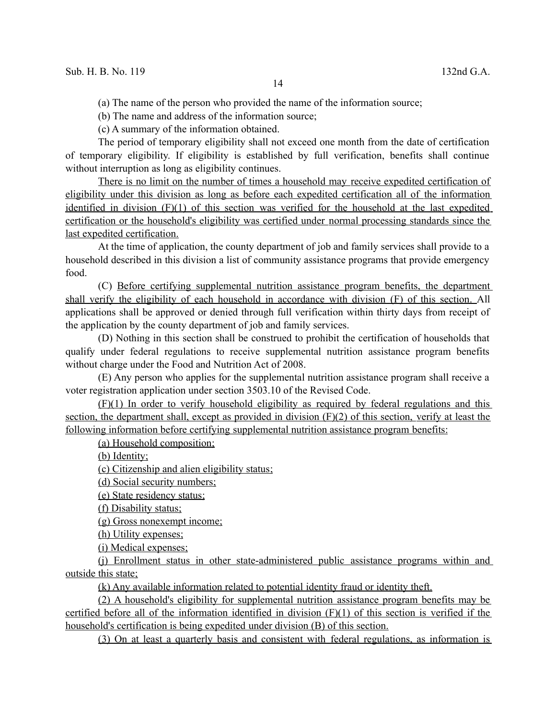(a) The name of the person who provided the name of the information source;

(b) The name and address of the information source;

(c) A summary of the information obtained.

The period of temporary eligibility shall not exceed one month from the date of certification of temporary eligibility. If eligibility is established by full verification, benefits shall continue without interruption as long as eligibility continues.

 There is no limit on the number of times a household may receive expedited certification of eligibility under this division as long as before each expedited certification all of the information identified in division (F)(1) of this section was verified for the household at the last expedited certification or the household's eligibility was certified under normal processing standards since the last expedited certification.

At the time of application, the county department of job and family services shall provide to a household described in this division a list of community assistance programs that provide emergency food.

(C) Before certifying supplemental nutrition assistance program benefits, the department shall verify the eligibility of each household in accordance with division (F) of this section. All applications shall be approved or denied through full verification within thirty days from receipt of the application by the county department of job and family services.

(D) Nothing in this section shall be construed to prohibit the certification of households that qualify under federal regulations to receive supplemental nutrition assistance program benefits without charge under the Food and Nutrition Act of 2008.

(E) Any person who applies for the supplemental nutrition assistance program shall receive a voter registration application under section 3503.10 of the Revised Code.

 (F)(1) In order to verify household eligibility as required by federal regulations and this section, the department shall, except as provided in division (F)(2) of this section, verify at least the following information before certifying supplemental nutrition assistance program benefits:

(a) Household composition;

(b) Identity;

(c) Citizenship and alien eligibility status ;

(d) Social security numbers;

(e) State residency status ;

(f) Disability status;

(g) Gross nonexempt income;

(h) Utility expenses;

(i) Medical expenses ;

 (j) Enrollment status in other state-administered public assistance programs within and outside this state;

(k) Any available information related to potential identity fraud or identity theft.

 (2) A household's eligibility for supplemental nutrition assistance program benefits may be certified before all of the information identified in division (F)(1) of this section is verified if the household's certification is being expedited under division (B) of this section.

(3) On at least a quarterly basis and consistent with federal regulations, as information is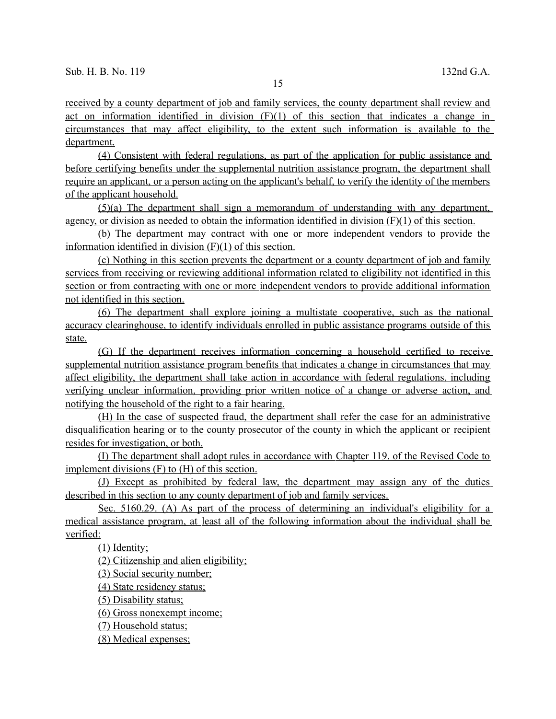received by a county department of job and family services, the county department shall review and act on information identified in division  $(F)(1)$  of this section that indicates a change in circumstances that may affect eligibility, to the extent such information is available to the department.

 (4) Consistent with federal regulations, as part of the application for public assistance and before certifying benefits under the supplemental nutrition assistance program, the department shall require an applicant, or a person acting on the applicant's behalf, to verify the identity of the members of the applicant household.

 (5)(a) The department shall sign a memorandum of understanding with any department, agency, or division as needed to obtain the information identified in division (F)(1) of this section.

 (b) The department may contract with one or more independent vendors to provide the information identified in division (F)(1) of this section.

(c) Nothing in this section prevents the department or a county department of job and family services from receiving or reviewing additional information related to eligibility not identified in this section or from contracting with one or more independent vendors to provide additional information not identified in this section.

 (6) The department shall explore joining a multistate cooperative, such as the national accuracy clearinghouse, to identify individuals enrolled in public assistance programs outside of this state.

 (G) If the department receives information concerning a household certified to receive supplemental nutrition assistance program benefits that indicates a change in circumstances that may affect eligibility, the department shall take action in accordance with federal regulations, including verifying unclear information, providing prior written notice of a change or adverse action, and notifying the household of the right to a fair hearing.

 (H) In the case of suspected fraud, the department shall refer the case for an administrative disqualification hearing or to the county prosecutor of the county in which the applicant or recipient resides for investigation, or both.

 (I) The department shall a dopt rules in accordance with Chapter 119. of the Revised Code to implement divisions (F) to (H) of this section.

 (J) Except as prohibited by federal law, the department may assign any of the duties described in this section to any county department of job and family services.

Sec. 5160.29. (A) As part of the process of determining an individual's eligibility for a medical assistance program, at least all of the following information about the individual shall be verified:

(1) Identity;

(2) Citizenship and alien eligibility;

(3) Social security number;

(4) State residency status;

(5) Disability status;

(6) Gross nonexempt income;

(7) Household status ;

(8) Medical expenses;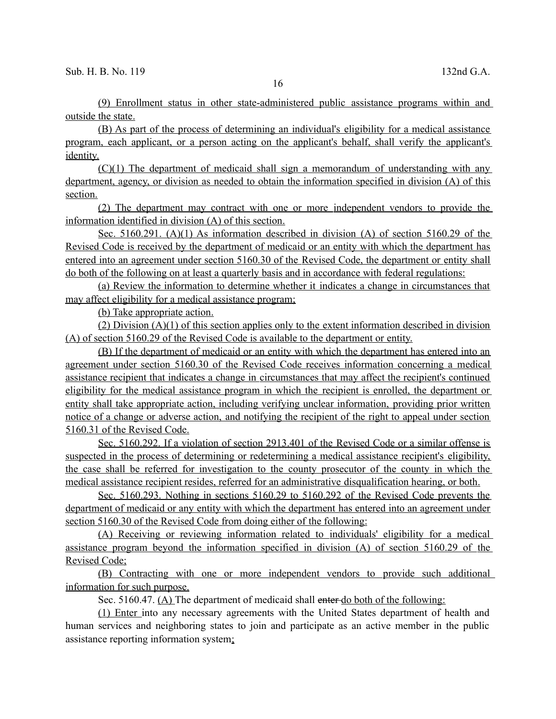(9) Enrollment status in other state-administered public assistance programs within and outside the state.

(B) As part of the process of determining an individual's eligibility for a medical assistance program, each applicant, or a person acting on the applicant's behalf, shall verify the applicant's identity.

 (C)(1) The department of medicaid shall sign a memorandum of understanding with any department, agency, or division as needed to obtain the information specified in division (A) of this section.

 (2) The department may contract with one or more independent vendors to provide the information identified in division (A) of this section.

Sec. 5160.291. (A)(1) As information described in division (A) of section 5160.29 of the Revised Code is received by the department of medicaid or an entity with which the department has entered into an agreement under section 5160.30 of the Revised Code, the department or entity shall do both of the following on at least a quarterly basis and in accordance with federal regulations:

 (a) Review the information to determine whether it indicates a change in circumstances that may affect eligibility for a medical assistance program;

(b) Take appropriate action.

 $(2)$  Division  $(A)(1)$  of this section applies only to the extent information described in division (A) of section 5160.29 of the Revised Code is available to the department or entity.

 (B) If the department of medicaid or an entity with which the department has entered into an agreement under section 5160.30 of the Revised Code receives information concerning a medical assistance recipient that indicates a change in circumstances that may affect the recipient's continued eligibility for the medical assistance program in which the recipient is enrolled, the department or entity shall take appropriate action, including verifying unclear information, providing prior written notice of a change or adverse action, and notifying the recipient of the right to appeal under section 5160.31 of the Revised Code.

 Sec. 5160.292. If a violation of section 2913.401 of the Revised Code or a similar offense is suspected in the process of determining or redetermining a medical assistance recipient's eligibility, the case shall be referred for investigation to the county prosecutor of the county in which the medical assistance recipient resides, referred for an administrative disqualification hearing, or both.

 Sec. 5160.293. Nothing in sections 5160.29 to 5160.292 of the Revised Code prevents the department of medicaid or any entity with which the department has entered into an agreement under section 5160.30 of the Revised Code from doing either of the following:

 (A) Receiving or reviewing information related to individuals' eligibility for a medical assistance program beyond the information specified in division (A) of section 5160.29 of the Revised Code;

 (B) Contracting with one or more independent vendors to provide such additional information for such purpose.

Sec. 5160.47. (A) The department of medicaid shall enter do both of the following:

(1) Enter into any necessary agreements with the United States department of health and human services and neighboring states to join and participate as an active member in the public assistance reporting information system;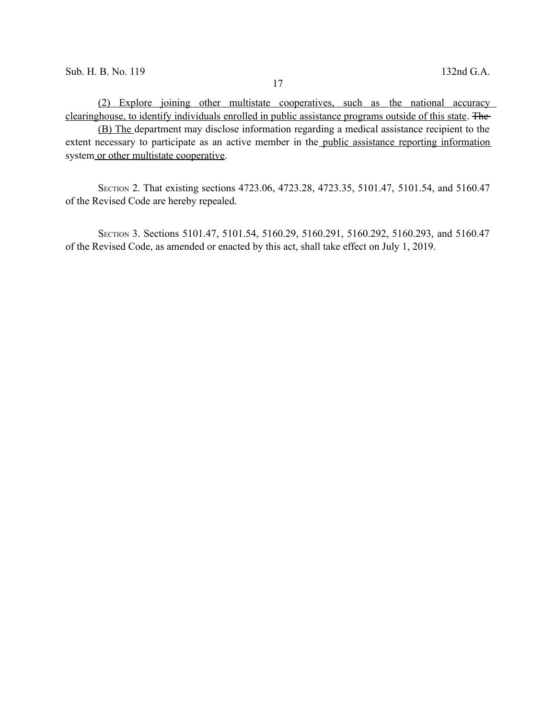(B) The department may disclose information regarding a medical assistance recipient to the extent necessary to participate as an active member in the public assistance reporting information system or other multistate cooperative.

SECTION 2. That existing sections 4723.06, 4723.28, 4723.35, 5101.47, 5101.54, and 5160.47 of the Revised Code are hereby repealed.

SECTION 3. Sections 5101.47, 5101.54, 5160.29, 5160.291, 5160.292, 5160.293, and 5160.47 of the Revised Code, as amended or enacted by this act, shall take effect on July 1, 2019.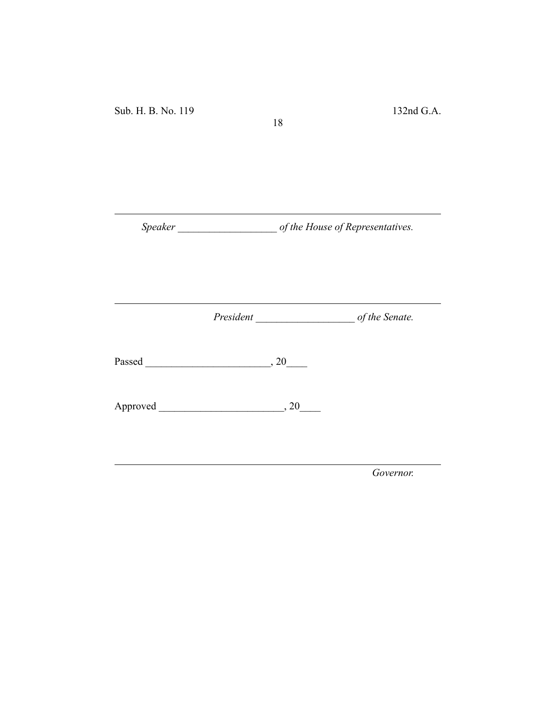Sub. H. B. No. 119 132nd G.A.

*Speaker \_\_\_\_\_\_\_\_\_\_\_\_\_\_\_\_\_\_\_ of the House of Representatives.*

18

*President \_\_\_\_\_\_\_\_\_\_\_\_\_\_\_\_\_\_\_ of the Senate.*

Passed \_\_\_\_\_\_\_\_\_\_\_\_\_\_\_\_\_\_\_\_\_\_\_\_, 20\_\_\_\_

Approved \_\_\_\_\_\_\_\_\_\_\_\_\_\_\_\_\_\_\_\_\_\_\_\_, 20\_\_\_\_

*Governor.*